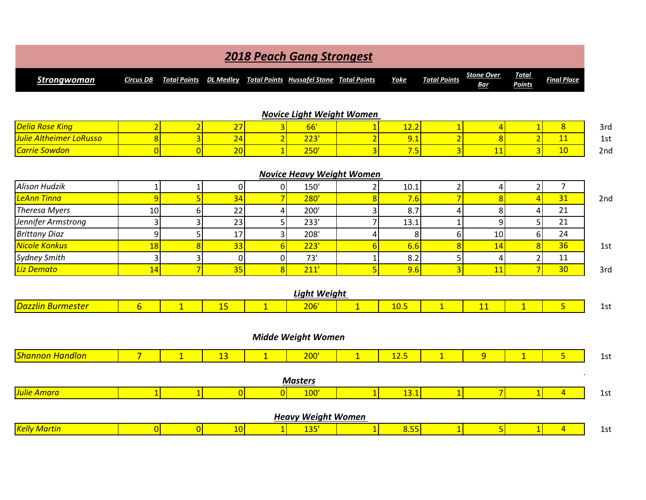|                                |                                  |                                  |                  |                     | <b>2018 Peach Gang Strongest</b>                |                     |             |                                |                                  |                                  |                    |
|--------------------------------|----------------------------------|----------------------------------|------------------|---------------------|-------------------------------------------------|---------------------|-------------|--------------------------------|----------------------------------|----------------------------------|--------------------|
| <b>Strongwoman</b>             | <b>Circus DB</b>                 | <b>Total Points</b>              | <b>DL Medley</b> |                     | <b>Total Points Hussafel Stone Total Points</b> |                     | <b>Yoke</b> | <b>Total Points</b>            | <b>Stone Over</b><br><b>Bar</b>  | <b>Total</b><br><b>Points</b>    | <b>Final Place</b> |
|                                |                                  |                                  |                  |                     |                                                 |                     |             |                                |                                  |                                  |                    |
| <b>Delia Rose King</b>         |                                  |                                  | 27               |                     | <b>Novice Light Weight Women</b>                |                     | 12.2        |                                |                                  |                                  | 8                  |
| <b>Julie Altheimer LoRusso</b> | $\overline{2}$<br>$\overline{8}$ | $\overline{2}$<br>$\overline{3}$ | 24               | 3<br>$\overline{2}$ | 66'<br>223'                                     | 1<br>$\overline{2}$ | 9.1         | $\mathbf{1}$<br>$\overline{2}$ | $\overline{4}$<br>$\overline{8}$ | $\overline{1}$<br>$\overline{2}$ | 11                 |
| Carrie Sowdon                  | $\overline{0}$                   | $\overline{0}$                   | 20               | $\overline{1}$      | 250'                                            | $\overline{3}$      | 7.5         | $\overline{3}$                 | 11                               | $\overline{3}$                   | 10                 |
|                                |                                  |                                  |                  |                     |                                                 |                     |             |                                |                                  |                                  |                    |
|                                |                                  |                                  |                  |                     | <b>Novice Heavy Weight Women</b>                |                     |             |                                |                                  |                                  |                    |
| <b>Alison Hudzik</b>           | $\mathbf{1}$                     | 1                                | $\overline{0}$   | 0                   | 150'                                            | 2                   | 10.1        | $\mathbf 2$                    | 4                                | $\mathbf{2}$                     | $\overline{7}$     |
| LeAnn Tinna                    | 9                                | 5                                | 34               | $\overline{7}$      | 280'                                            | 8                   | 7.6         | $\overline{7}$                 | 8                                | $\overline{4}$                   | 31                 |
| <b>Theresa Myers</b>           | 10                               | $6 \mid$                         | 22               | 4                   | 200'                                            | 3                   | 8.7         | $\overline{4}$                 | 8                                | $\overline{4}$                   | 21                 |
| Jennifer Armstrong             | 3                                | 3                                | 23               | 5 <sup>1</sup>      | 233'                                            | 7                   | 13.1        | $\mathbf 1$                    | 9                                | 5 <sup>1</sup>                   | 21                 |
| <b>Brittany Diaz</b>           | 9                                | 5                                | 17               | $\vert 3 \vert$     | 208'                                            | $\overline{4}$      | 8           | 6                              | 10                               | $6 \overline{6}$                 | 24                 |
| Nicole Konkus                  | 18                               | $\overline{8}$                   | 33               | 6                   | 223'                                            | $\overline{6}$      | 6.6         | $\overline{8}$                 | 14                               | $\bf{8}$                         | 36                 |
| <b>Sydney Smith</b>            | 3                                | $\mathbf{3}$                     | $\overline{0}$   | $\overline{0}$      | 73'                                             | 1                   | 8.2         | 5                              | 4                                | $\overline{2}$                   | 11                 |
| Liz Demato                     | 14                               | $\overline{7}$                   | 35               | 8                   | 211'                                            | 5                   | 9.6         | $\overline{3}$                 | 11                               | $\overline{7}$                   | 30                 |
|                                |                                  |                                  |                  |                     | <b>Light Weight</b>                             |                     |             |                                |                                  |                                  |                    |
| <b>Dazzlin Burmester</b>       | $6\overline{6}$                  | $\mathbf{1}$                     | 15               | $\overline{1}$      | 206'                                            | $\overline{1}$      | 10.5        | $\overline{1}$                 | 11                               | $\overline{1}$                   | 5                  |
|                                |                                  |                                  |                  |                     | <b>Midde Weight Women</b>                       |                     |             |                                |                                  |                                  |                    |
| <b>Shannon Handlon</b>         | $\overline{7}$                   | $\mathbf{1}$                     | 13               | $\mathbf{1}$        | 200'                                            | $\mathbf{1}$        | 12.5        | $\mathbf{1}$                   | 9                                | $\overline{1}$                   | $5\overline{}$     |
|                                |                                  |                                  |                  |                     | <b>Masters</b>                                  |                     |             |                                |                                  |                                  |                    |
| <b>Julie Amara</b>             | 1                                | 1                                | 0                | $\Omega$            | 100'                                            | $\mathbf{1}$        | 13.1        | $\vert$ 1                      | $\overline{7}$                   | $\vert$ 1                        | $\overline{4}$     |
|                                |                                  |                                  |                  |                     | <b>Heavy Weight Women</b>                       |                     |             |                                |                                  |                                  |                    |
| <b>Kelly Martin</b>            | 0                                | 0                                | 10               | $\mathbf{1}$        | 135'                                            | $\mathbf{1}$        | 8.55        | $\overline{1}$                 | $5\phantom{a}$                   | $\overline{1}$                   | $\overline{4}$     |